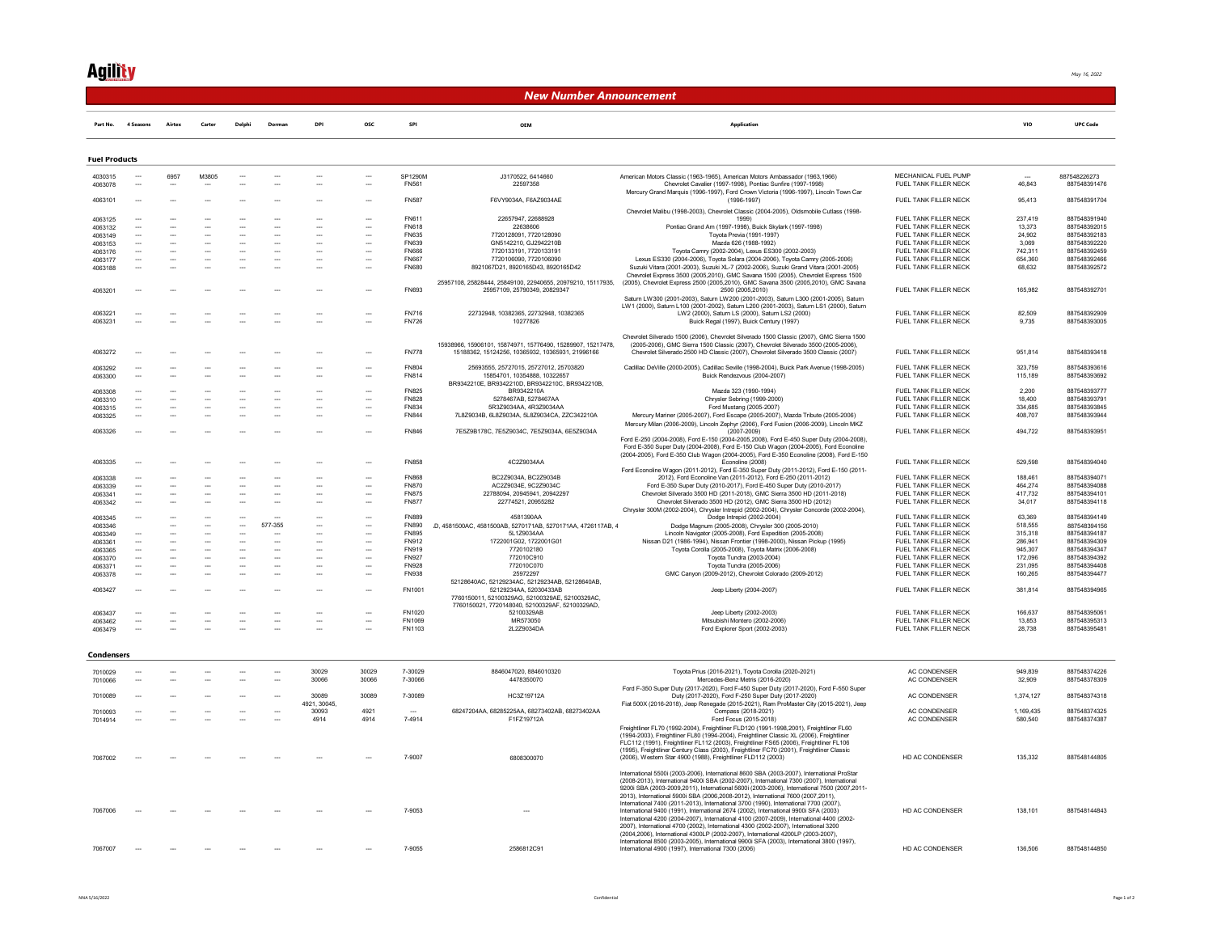## **Agility**

| New Number Announcement |                                    |                          |                          |                          |                                                      |                                                      |                                |                              |                                                                                                           |                                                                                                                                                                                                                                                                                                                                                                                                                                                                                                                                                             |                                                |                    |                              |
|-------------------------|------------------------------------|--------------------------|--------------------------|--------------------------|------------------------------------------------------|------------------------------------------------------|--------------------------------|------------------------------|-----------------------------------------------------------------------------------------------------------|-------------------------------------------------------------------------------------------------------------------------------------------------------------------------------------------------------------------------------------------------------------------------------------------------------------------------------------------------------------------------------------------------------------------------------------------------------------------------------------------------------------------------------------------------------------|------------------------------------------------|--------------------|------------------------------|
| Part No.                | 4 Seasons                          | Airtex                   | Carter                   | Delphi                   | Dorman                                               | DPI                                                  | osc                            | SPI                          | OEM                                                                                                       | Application                                                                                                                                                                                                                                                                                                                                                                                                                                                                                                                                                 |                                                | <b>VIO</b>         | <b>UPC Code</b>              |
| <b>Fuel Products</b>    |                                    |                          |                          |                          |                                                      |                                                      |                                |                              |                                                                                                           |                                                                                                                                                                                                                                                                                                                                                                                                                                                                                                                                                             |                                                |                    |                              |
| 4030315                 |                                    | 6957                     | M3805                    |                          |                                                      |                                                      |                                | SP1290M                      | J3170522, 6414660                                                                                         | American Motors Classic (1963-1965), American Motors Ambassador (1963,1966)                                                                                                                                                                                                                                                                                                                                                                                                                                                                                 | MECHANICAL FUEL PUMP                           |                    | 887548226273                 |
| 4063078                 |                                    |                          |                          |                          |                                                      |                                                      |                                | FN561                        | 22597358                                                                                                  | Chevrolet Cavalier (1997-1998), Pontiac Sunfire (1997-1998)                                                                                                                                                                                                                                                                                                                                                                                                                                                                                                 | FUEL TANK FILLER NECK                          | 46,843             | 887548391476                 |
| 4063101                 |                                    |                          |                          |                          |                                                      |                                                      |                                | <b>FN587</b>                 | F6VY9034A, F6AZ9034AE                                                                                     | Mercury Grand Marquis (1996-1997), Ford Crown Victoria (1996-1997), Lincoln Town Car<br>$(1996 - 1997)$                                                                                                                                                                                                                                                                                                                                                                                                                                                     | FUEL TANK FILLER NECK                          | 95,413             | 887548391704                 |
|                         |                                    |                          |                          |                          |                                                      |                                                      |                                |                              |                                                                                                           | Chevrolet Malibu (1998-2003), Chevrolet Classic (2004-2005), Oldsmobile Cutlass (1998-                                                                                                                                                                                                                                                                                                                                                                                                                                                                      |                                                |                    |                              |
| 4063125                 |                                    |                          |                          |                          |                                                      |                                                      |                                | FN611                        | 22657947, 22688928                                                                                        | 1999)                                                                                                                                                                                                                                                                                                                                                                                                                                                                                                                                                       | FUEL TANK FILLER NECK                          | 237,419            | 887548391940                 |
| 4063132                 | $\sim$                             | $\overline{a}$           | $\sim$                   |                          |                                                      | $\overline{\phantom{a}}$                             | $\overline{\phantom{a}}$       | <b>FN618</b>                 | 22638606                                                                                                  | Pontiac Grand Am (1997-1998), Buick Skylark (1997-1998)                                                                                                                                                                                                                                                                                                                                                                                                                                                                                                     | FUEL TANK FILLER NECK                          | 13 3 7 3           | 887548392015                 |
| 4063149<br>4063153      | $\sim$                             | $\overline{\phantom{a}}$ | $\overline{\phantom{a}}$ |                          | $\overline{\phantom{a}}$                             | $\overline{\phantom{a}}$<br>$\sim$                   | ---<br>$\sim$                  | <b>FN635</b><br>FN639        | 7720128091, 7720128090<br>GN5142210, GJ2942210B                                                           | Toyota Previa (1991-1997)<br>Mazda 626 (1988-1992)                                                                                                                                                                                                                                                                                                                                                                                                                                                                                                          | FUEL TANK FILLER NECK<br>FUEL TANK FILLER NECK | 24 902<br>3.069    | 887548392183<br>887548392220 |
| 4063176                 |                                    |                          |                          |                          |                                                      | $\overline{\phantom{a}}$                             | --                             | <b>FN666</b>                 | 7720133191, 7720133191                                                                                    | Toyota Camry (2002-2004), Lexus ES300 (2002-2003)                                                                                                                                                                                                                                                                                                                                                                                                                                                                                                           | FUEL TANK FILLER NECK                          | 742,311            | 887548392459                 |
| 4063177                 | $\overline{\phantom{a}}$           |                          |                          |                          | $\overline{\phantom{a}}$                             |                                                      |                                | <b>FN667</b>                 | 7720106090.7720106090                                                                                     | Lexus ES330 (2004-2006), Toyota Solara (2004-2006), Toyota Camry (2005-2006)                                                                                                                                                                                                                                                                                                                                                                                                                                                                                | FUEL TANK FILLER NECK                          | 654.360            | 887548392466                 |
| 4063188                 |                                    |                          |                          |                          |                                                      |                                                      |                                | FN680                        | 8921067D21, 8920165D43, 8920165D42                                                                        | Suzuki Vitara (2001-2003), Suzuki XL-7 (2002-2006), Suzuki Grand Vitara (2001-2005)                                                                                                                                                                                                                                                                                                                                                                                                                                                                         | FUEL TANK FILLER NECK                          | 68,632             | 887548392572                 |
| 4063201                 |                                    |                          |                          |                          |                                                      |                                                      |                                | FN693                        | 25957108. 25828444. 25849100. 22940655. 20979210. 15117935.<br>25957109.25790349.20829347                 | Chevrolet Express 3500 (2005.2010). GMC Savana 1500 (2005). Chevrolet Express 1500<br>(2005), Chevrolet Express 2500 (2005,2010), GMC Savana 3500 (2005,2010), GMC Savana<br>2500 (2005.2010)                                                                                                                                                                                                                                                                                                                                                               | FUEL TANK FILLER NECK                          | 165,982            | 887548392701                 |
|                         |                                    |                          |                          |                          |                                                      |                                                      |                                |                              |                                                                                                           | Saturn LW300 (2001-2003), Saturn LW200 (2001-2003), Saturn L300 (2001-2005), Saturn                                                                                                                                                                                                                                                                                                                                                                                                                                                                         |                                                |                    |                              |
| 4063221                 | ---                                |                          |                          |                          |                                                      |                                                      |                                | <b>FN716</b>                 | 22732948, 10382365, 22732948, 10382365                                                                    | LW1 (2000), Saturn L100 (2001-2002), Saturn L200 (2001-2003), Saturn LS1 (2000), Saturn<br>LW2 (2000), Saturn LS (2000), Saturn LS2 (2000)                                                                                                                                                                                                                                                                                                                                                                                                                  | FUEL TANK FILLER NECK                          | 82,509             | 887548392909                 |
| 4063231                 | $\sim$                             |                          |                          |                          |                                                      |                                                      |                                | <b>FN726</b>                 | 10277826                                                                                                  | Buick Regal (1997), Buick Century (1997)                                                                                                                                                                                                                                                                                                                                                                                                                                                                                                                    | FUEL TANK FILLER NECK                          | 9,735              | 887548393005                 |
|                         |                                    |                          |                          |                          |                                                      |                                                      |                                |                              |                                                                                                           |                                                                                                                                                                                                                                                                                                                                                                                                                                                                                                                                                             |                                                |                    |                              |
| 4063272                 |                                    |                          |                          |                          |                                                      |                                                      |                                | <b>FN778</b>                 | 15938966 15906101 15874971 15776490 15289907 15217478<br>15188362, 15124256, 10365932, 10365931, 21996166 | Chevrolet Silverado 1500 (2006), Chevrolet Silverado 1500 Classic (2007), GMC Sierra 1500<br>(2005-2006), GMC Sierra 1500 Classic (2007), Chevrolet Silverado 3500 (2005-2006)<br>Chevrolet Silverado 2500 HD Classic (2007), Chevrolet Silverado 3500 Classic (2007)                                                                                                                                                                                                                                                                                       | FUEL TANK FILLER NECK                          | 951,814            | 887548393418                 |
|                         |                                    |                          |                          |                          |                                                      |                                                      |                                |                              |                                                                                                           |                                                                                                                                                                                                                                                                                                                                                                                                                                                                                                                                                             |                                                |                    |                              |
| 4063292<br>4063300      |                                    |                          |                          |                          |                                                      |                                                      |                                | <b>FN804</b><br><b>FN814</b> | 25693555, 25727015, 25727012, 25703820<br>15854701, 10354888, 10322657                                    | Cadillac DeVille (2000-2005), Cadillac Seville (1998-2004), Buick Park Avenue (1998-2005)<br>Buick Rendezvous (2004-2007)                                                                                                                                                                                                                                                                                                                                                                                                                                   | FUEL TANK FILLER NECK<br>FUEL TANK FILLER NECK | 323 759<br>115,189 | 887548393616<br>887548393692 |
|                         |                                    |                          |                          |                          |                                                      |                                                      |                                |                              | BR9342210E, BR9342210D, BR9342210C, BR9342210B,                                                           |                                                                                                                                                                                                                                                                                                                                                                                                                                                                                                                                                             |                                                |                    |                              |
| 4063308                 |                                    |                          |                          |                          |                                                      |                                                      |                                | FN825                        | BR9342210A                                                                                                | Mazda 323 (1990-1994)                                                                                                                                                                                                                                                                                                                                                                                                                                                                                                                                       | FUEL TANK FILLER NECK                          | 2,200              | 887548393777                 |
| 4063310<br>4063315      | $\sim$<br>$\overline{\phantom{a}}$ |                          |                          | $\overline{\phantom{a}}$ | $\overline{\phantom{a}}$<br>$\overline{\phantom{a}}$ | $\overline{\phantom{a}}$<br>$\overline{\phantom{a}}$ | ---<br>$\sim$                  | <b>FN828</b><br><b>FN834</b> | 5278467AB, 5278467AA<br>5R379034AA 4R379034AA                                                             | Chrysler Sebring (1999-2000)<br>Ford Mustang (2005-2007)                                                                                                                                                                                                                                                                                                                                                                                                                                                                                                    | FUEL TANK FILLER NECK<br>FUEL TANK FILLER NECK | 18,400<br>334 685  | 887548393791<br>887548393845 |
| 4063325                 | ×.                                 |                          |                          |                          |                                                      |                                                      | $\overline{\phantom{a}}$       | <b>FN844</b>                 | 7L8Z9034B, 6L8Z9034A, 5L8Z9034CA, ZZC342210A                                                              | Mercury Mariner (2005-2007), Ford Escape (2005-2007), Mazda Tribute (2005-2006)                                                                                                                                                                                                                                                                                                                                                                                                                                                                             | FUEL TANK FILLER NECK                          | 408,707            | 887548393944                 |
|                         |                                    |                          |                          |                          |                                                      |                                                      |                                |                              |                                                                                                           | Mercury Milan (2006-2009), Lincoln Zephyr (2006), Ford Fusion (2006-2009), Lincoln MKZ                                                                                                                                                                                                                                                                                                                                                                                                                                                                      |                                                |                    |                              |
| 4063326                 |                                    |                          |                          |                          |                                                      |                                                      |                                | <b>FN846</b>                 | 7E5Z9B178C. 7E5Z9034C. 7E5Z9034A. 6E5Z9034A                                                               | $(2007 - 2009)$<br>Ford E-250 (2004-2008), Ford E-150 (2004-2005,2008), Ford E-450 Super Duty (2004-2008),<br>Ford E-350 Super Duty (2004-2008), Ford E-150 Club Wagon (2004-2005), Ford Econoline                                                                                                                                                                                                                                                                                                                                                          | FUEL TANK FILLER NECK                          | 494.722            | 887548393951                 |
| 4063335                 |                                    |                          |                          |                          |                                                      |                                                      |                                | <b>FN858</b>                 | 4C2Z9034AA                                                                                                | (2004-2005), Ford E-350 Club Wagon (2004-2005), Ford E-350 Econoline (2008), Ford E-150<br>Econoline (2008)<br>Ford Econoline Wagon (2011-2012), Ford E-350 Super Duty (2011-2012), Ford E-150 (2011-                                                                                                                                                                                                                                                                                                                                                       | FUEL TANK FILLER NECK                          | 529,598            | 887548394040                 |
| 4063338                 |                                    |                          |                          |                          |                                                      |                                                      |                                | <b>FN868</b>                 | BC2Z9034A, BC2Z9034B                                                                                      | 2012), Ford Econoline Van (2011-2012), Ford E-250 (2011-2012)                                                                                                                                                                                                                                                                                                                                                                                                                                                                                               | FUEL TANK FILLER NECK                          | 188.461            | 887548394071                 |
| 4063339<br>4063341      | $\overline{\phantom{a}}$           |                          |                          |                          | $\overline{\phantom{a}}$<br>$\overline{\phantom{a}}$ | $\overline{\phantom{a}}$<br>$\overline{\phantom{a}}$ | --<br>$\overline{\phantom{a}}$ | <b>FN870</b><br><b>FN875</b> | AC2Z9034E, 9C2Z9034C<br>22788094.20945941.20942297                                                        | Ford E-350 Super Duty (2010-2017), Ford E-450 Super Duty (2010-2017)<br>Chevrolet Silverado 3500 HD (2011-2018), GMC Sierra 3500 HD (2011-2018)                                                                                                                                                                                                                                                                                                                                                                                                             | FUEL TANK FILLER NECK<br>FUEL TANK FILLER NECK | 464,274<br>417.732 | 887548394088<br>887548394101 |
| 4063342                 | $\overline{\phantom{a}}$           |                          |                          |                          |                                                      |                                                      | $\sim$                         | <b>FN877</b>                 | 22774521.20955282                                                                                         | Chevrolet Silverado 3500 HD (2012) GMC Sierra 3500 HD (2012)<br>Chrysler 300M (2002-2004), Chrysler Intrepid (2002-2004), Chrysler Concorde (2002-2004),                                                                                                                                                                                                                                                                                                                                                                                                    | FUEL TANK FILLER NECK                          | 34.017             | 887548394118                 |
| 4063345                 |                                    |                          |                          |                          |                                                      |                                                      |                                | FN889                        | 4581390AA                                                                                                 | Dodge Intrepid (2002-2004)                                                                                                                                                                                                                                                                                                                                                                                                                                                                                                                                  | FUEL TANK FILLER NECK                          | 63.369             | 887548394149                 |
| 4063346                 |                                    |                          | Ξ.                       | Ξ.                       | 577-355                                              | $\overline{\phantom{a}}$                             | Ξ.                             | FN890                        | D, 4581500AC, 4581500AB, 5270171AB, 5270171AA, 4726117AB, 4                                               | Dodge Magnum (2005-2008), Chrysler 300 (2005-2010)                                                                                                                                                                                                                                                                                                                                                                                                                                                                                                          | FUEL TANK FILLER NECK                          | 518,555            | 887548394156                 |
| 4063349<br>4063361      |                                    |                          |                          |                          |                                                      |                                                      |                                | <b>FN895</b><br>FN912        | 5L1Z9034AA<br>1722001G02. 1722001G01                                                                      | Lincoln Navigator (2005-2008), Ford Expedition (2005-2008)<br>Nissan D21 (1986-1994), Nissan Frontier (1998-2000), Nissan Pickup (1995)                                                                                                                                                                                                                                                                                                                                                                                                                     | FUEL TANK FILLER NECK<br>FUEL TANK FILLER NECK | 315,318<br>286.941 | 887548394187<br>887548394309 |
| 4063365                 |                                    |                          | $\overline{\phantom{a}}$ |                          | $\overline{\phantom{a}}$                             | $\overline{\phantom{a}}$                             | $\overline{\phantom{a}}$       | FN919                        | 7720102180                                                                                                | Toyota Corolla (2005-2008), Toyota Matrix (2006-2008)                                                                                                                                                                                                                                                                                                                                                                                                                                                                                                       | FUEL TANK FILLER NECK                          | 945 307            | 887548394347                 |
| 4063370                 | $\overline{\phantom{a}}$           |                          | ---                      |                          | $\overline{\phantom{a}}$                             | $\overline{\phantom{a}}$                             | ---                            | <b>FN927</b>                 | 772010C910                                                                                                | Toyota Tundra (2003-2004)                                                                                                                                                                                                                                                                                                                                                                                                                                                                                                                                   | FUEL TANK FILLER NECK                          | 172.096            | 887548394392                 |
| 4063371                 | $\overline{\phantom{a}}$           | $\sim$                   | $\overline{\phantom{a}}$ |                          | $\overline{\phantom{a}}$                             | $\sim$                                               | $\sim$                         | <b>FN928</b>                 | 772010C070                                                                                                | Toyota Tundra (2005-2006)                                                                                                                                                                                                                                                                                                                                                                                                                                                                                                                                   | FUEL TANK FILLER NECK                          | 231.095            | 887548394408                 |
| 4063378                 |                                    |                          |                          |                          |                                                      |                                                      |                                | <b>FN938</b>                 | 25972297<br>52128640AC, 52129234AC, 52129234AB, 52128640AB,                                               | GMC Canyon (2009-2012), Chevrolet Colorado (2009-2012)                                                                                                                                                                                                                                                                                                                                                                                                                                                                                                      | FUEL TANK FILLER NECK                          | 160,265            | 887548394477                 |
| 4063427                 |                                    |                          |                          |                          |                                                      |                                                      |                                | FN1001                       | 52129234AA. 52030433AB<br>7760150011, 52100329AG, 52100329AE, 52100329AC,                                 | Jeep Liberty (2004-2007)                                                                                                                                                                                                                                                                                                                                                                                                                                                                                                                                    | FUEL TANK FILLER NECK                          | 381.814            | 887548394965                 |
|                         |                                    |                          |                          |                          |                                                      |                                                      |                                | FN1020                       | 7760150021, 7720148040, 52100329AF, 52100329AD,<br>52100329AB                                             |                                                                                                                                                                                                                                                                                                                                                                                                                                                                                                                                                             | FUEL TANK FILLER NECK                          | 166.637            | 887548395061                 |
| 4063437<br>4063462      | $\sim$                             |                          |                          |                          |                                                      |                                                      | --                             | FN1069                       | MR573050                                                                                                  | Jeep Liberty (2002-2003)<br>Mitsubishi Montero (2002-2006)                                                                                                                                                                                                                                                                                                                                                                                                                                                                                                  | FUEL TANK FILLER NECK                          | 13,853             | 887548395313                 |
| 4063479                 | $\sim$                             |                          |                          |                          |                                                      |                                                      |                                | FN1103                       | 2L2Z9034DA                                                                                                | Ford Explorer Sport (2002-2003)                                                                                                                                                                                                                                                                                                                                                                                                                                                                                                                             | FUEL TANK FILLER NECK                          | 28,738             | 887548395481                 |
|                         |                                    |                          |                          |                          |                                                      |                                                      |                                |                              |                                                                                                           |                                                                                                                                                                                                                                                                                                                                                                                                                                                                                                                                                             |                                                |                    |                              |
| Condensers              |                                    |                          |                          |                          |                                                      |                                                      |                                |                              |                                                                                                           |                                                                                                                                                                                                                                                                                                                                                                                                                                                                                                                                                             |                                                |                    |                              |
| 7010029<br>7010066      |                                    |                          |                          |                          |                                                      | 30029<br>30066                                       | 30029<br>30066                 | 7-30029<br>7-30066           | 8846047020, 8846010320<br>4478350070                                                                      | Toyota Prius (2016-2021), Toyota Corolla (2020-2021)<br>Mercedes-Benz Metris (2016-2020)                                                                                                                                                                                                                                                                                                                                                                                                                                                                    | AC CONDENSER<br>AC CONDENSER                   | 949,839<br>32.909  | 887548374226<br>887548378309 |
| 7010089                 |                                    |                          |                          |                          |                                                      | 30089                                                | 30089                          | 7-30089                      | HC3Z19712A                                                                                                | Ford F-350 Super Duty (2017-2020), Ford F-450 Super Duty (2017-2020), Ford F-550 Super<br>Duty (2017-2020), Ford F-250 Super Duty (2017-2020)                                                                                                                                                                                                                                                                                                                                                                                                               | AC CONDENSER                                   | 1.374.127          | 887548374318                 |
| 7010093                 |                                    |                          |                          |                          |                                                      | 4921, 30045,<br>30093                                | 4921                           |                              | 68247204AA, 68285225AA, 68273402AB, 68273402AA                                                            | Fiat 500X (2016-2018), Jeep Renegade (2015-2021), Ram ProMaster City (2015-2021), Jeep<br>Compass (2018-2021)                                                                                                                                                                                                                                                                                                                                                                                                                                               | AC CONDENSER                                   | 1.169.435          | 887548374325                 |
| 7014914                 |                                    |                          |                          |                          |                                                      | 4914                                                 | 4914                           | 7-4914                       | F1FZ19712A                                                                                                | Ford Focus (2015-2018)                                                                                                                                                                                                                                                                                                                                                                                                                                                                                                                                      | AC CONDENSER                                   | 580.540            | 887548374387                 |
|                         |                                    |                          |                          |                          |                                                      |                                                      |                                |                              |                                                                                                           | Freightliner FL70 (1992-2004), Freightliner FLD120 (1991-1998.2001), Freightliner FL60<br>(1994-2003), Freightliner FL80 (1994-2004), Freightliner Classic XL (2006), Freightliner<br>FLC112 (1991), Freightliner FL112 (2003), Freightliner FS65 (2006), Freightliner FL106<br>(1995), Freightliner Century Class (2003), Freightliner FC70 (2001), Freightliner Classic                                                                                                                                                                                   |                                                |                    |                              |
| 7067002                 |                                    |                          |                          |                          |                                                      |                                                      |                                | 7-9007                       | 6808300070                                                                                                | (2006), Western Star 4900 (1988), Freightliner FLD112 (2003)                                                                                                                                                                                                                                                                                                                                                                                                                                                                                                | HD AC CONDENSER                                | 135,332            | 887548144805                 |
| 7067006                 |                                    |                          |                          |                          |                                                      |                                                      |                                | 7-9053                       |                                                                                                           | International 5500i (2003-2006), International 8600 SBA (2003-2007), International ProStar<br>(2008-2013), International 9400i SBA (2002-2007), International 7300 (2007), International<br>9200i SBA (2003-2009,2011), International 5600i (2003-2006), International 7500 (2007,2011-<br>2013), International 5900i SBA (2006,2008-2012), International 7600 (2007,2011),<br>International 7400 (2011-2013), International 3700 (1990), International 7700 (2007)<br>International 9400 (1991), International 2674 (2002), International 9900i SFA (2003) | HD AC CONDENSER                                | 138.101            | 887548144843                 |
|                         |                                    |                          |                          |                          |                                                      |                                                      |                                | 7-9055                       | 2586812C91                                                                                                | International 4200 (2004-2007), International 4100 (2007-2009), International 4400 (2002-<br>2007), International 4700 (2002), International 4300 (2002-2007), International 3200<br>(2004,2006), International 4300LP (2002-2007), International 4200LP (2003-2007),<br>International 8500 (2003-2005), International 9900i SFA (2003), International 3800 (1997)<br>International 4900 (1997). International 7300 (2006)                                                                                                                                  | HD AC CONDENSER                                | 136,506            | 887548144850                 |

May 16, 2022